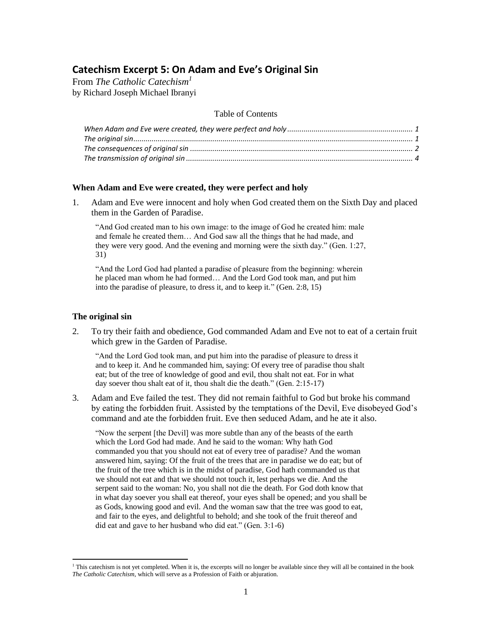# **Catechism Excerpt 5: On Adam and Eve's Original Sin**

From *The Catholic Catechism<sup>1</sup>* by Richard Joseph Michael Ibranyi

### Table of Contents

### <span id="page-0-0"></span>**When Adam and Eve were created, they were perfect and holy**

1. Adam and Eve were innocent and holy when God created them on the Sixth Day and placed them in the Garden of Paradise.

"And God created man to his own image: to the image of God he created him: male and female he created them… And God saw all the things that he had made, and they were very good. And the evening and morning were the sixth day." (Gen. 1:27, 31)

"And the Lord God had planted a paradise of pleasure from the beginning: wherein he placed man whom he had formed… And the Lord God took man, and put him into the paradise of pleasure, to dress it, and to keep it." (Gen. 2:8, 15)

### <span id="page-0-1"></span>**The original sin**

l

2. To try their faith and obedience, God commanded Adam and Eve not to eat of a certain fruit which grew in the Garden of Paradise.

"And the Lord God took man, and put him into the paradise of pleasure to dress it and to keep it. And he commanded him, saying: Of every tree of paradise thou shalt eat; but of the tree of knowledge of good and evil, thou shalt not eat. For in what day soever thou shalt eat of it, thou shalt die the death." (Gen. 2:15-17)

3. Adam and Eve failed the test. They did not remain faithful to God but broke his command by eating the forbidden fruit. Assisted by the temptations of the Devil, Eve disobeyed God's command and ate the forbidden fruit. Eve then seduced Adam, and he ate it also.

"Now the serpent [the Devil] was more subtle than any of the beasts of the earth which the Lord God had made. And he said to the woman: Why hath God commanded you that you should not eat of every tree of paradise? And the woman answered him, saying: Of the fruit of the trees that are in paradise we do eat; but of the fruit of the tree which is in the midst of paradise, God hath commanded us that we should not eat and that we should not touch it, lest perhaps we die. And the serpent said to the woman: No, you shall not die the death. For God doth know that in what day soever you shall eat thereof, your eyes shall be opened; and you shall be as Gods, knowing good and evil. And the woman saw that the tree was good to eat, and fair to the eyes, and delightful to behold; and she took of the fruit thereof and did eat and gave to her husband who did eat." (Gen. 3:1-6)

 $<sup>1</sup>$  This catechism is not yet completed. When it is, the excerpts will no longer be available since they will all be contained in the book</sup> *The Catholic Catechism*, which will serve as a Profession of Faith or abjuration.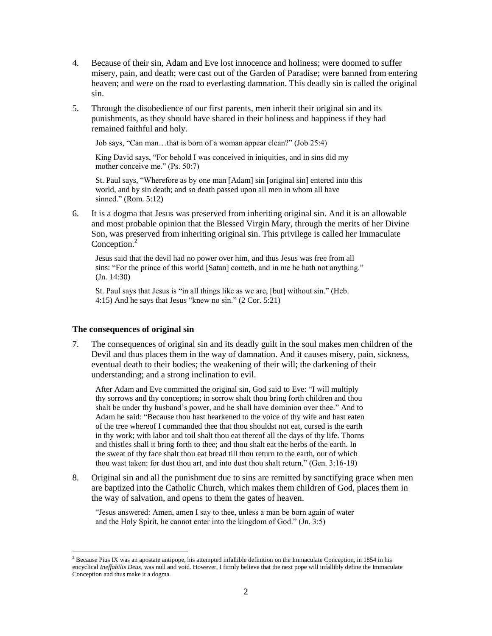- 4. Because of their sin, Adam and Eve lost innocence and holiness; were doomed to suffer misery, pain, and death; were cast out of the Garden of Paradise; were banned from entering heaven; and were on the road to everlasting damnation. This deadly sin is called the original sin.
- 5. Through the disobedience of our first parents, men inherit their original sin and its punishments, as they should have shared in their holiness and happiness if they had remained faithful and holy.

Job says, "Can man…that is born of a woman appear clean?" (Job 25:4)

King David says, "For behold I was conceived in iniquities, and in sins did my mother conceive me." (Ps. 50:7)

St. Paul says, "Wherefore as by one man [Adam] sin [original sin] entered into this world, and by sin death; and so death passed upon all men in whom all have sinned." (Rom. 5:12)

6. It is a dogma that Jesus was preserved from inheriting original sin. And it is an allowable and most probable opinion that the Blessed Virgin Mary, through the merits of her Divine Son, was preserved from inheriting original sin. This privilege is called her Immaculate Conception.<sup>2</sup>

Jesus said that the devil had no power over him, and thus Jesus was free from all sins: "For the prince of this world [Satan] cometh, and in me he hath not anything." (Jn. 14:30)

St. Paul says that Jesus is "in all things like as we are, [but] without sin." (Heb. 4:15) And he says that Jesus "knew no sin." (2 Cor. 5:21)

## <span id="page-1-0"></span>**The consequences of original sin**

7. The consequences of original sin and its deadly guilt in the soul makes men children of the Devil and thus places them in the way of damnation. And it causes misery, pain, sickness, eventual death to their bodies; the weakening of their will; the darkening of their understanding; and a strong inclination to evil.

After Adam and Eve committed the original sin, God said to Eve: "I will multiply thy sorrows and thy conceptions; in sorrow shalt thou bring forth children and thou shalt be under thy husband's power, and he shall have dominion over thee." And to Adam he said: "Because thou hast hearkened to the voice of thy wife and hast eaten of the tree whereof I commanded thee that thou shouldst not eat, cursed is the earth in thy work; with labor and toil shalt thou eat thereof all the days of thy life. Thorns and thistles shall it bring forth to thee; and thou shalt eat the herbs of the earth. In the sweat of thy face shalt thou eat bread till thou return to the earth, out of which thou wast taken: for dust thou art, and into dust thou shalt return." (Gen. 3:16-19)

8. Original sin and all the punishment due to sins are remitted by sanctifying grace when men are baptized into the Catholic Church, which makes them children of God, places them in the way of salvation, and opens to them the gates of heaven.

"Jesus answered: Amen, amen I say to thee, unless a man be born again of water and the Holy Spirit, he cannot enter into the kingdom of God." (Jn. 3:5)

 $\overline{a}$ <sup>2</sup> Because Pius IX was an apostate antipope, his attempted infallible definition on the Immaculate Conception, in 1854 in his encyclical *Ineffabilis Deus*, was null and void. However, I firmly believe that the next pope will infallibly define the Immaculate Conception and thus make it a dogma.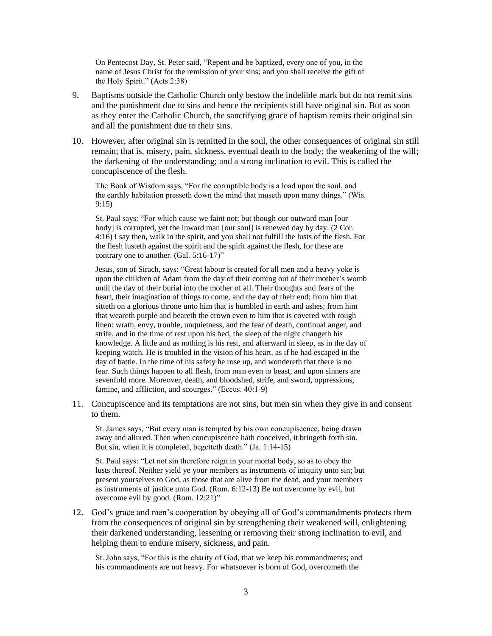On Pentecost Day, St. Peter said, "Repent and be baptized, every one of you, in the name of Jesus Christ for the remission of your sins; and you shall receive the gift of the Holy Spirit." (Acts 2:38)

- 9. Baptisms outside the Catholic Church only bestow the indelible mark but do not remit sins and the punishment due to sins and hence the recipients still have original sin. But as soon as they enter the Catholic Church, the sanctifying grace of baptism remits their original sin and all the punishment due to their sins.
- 10. However, after original sin is remitted in the soul, the other consequences of original sin still remain; that is, misery, pain, sickness, eventual death to the body; the weakening of the will; the darkening of the understanding; and a strong inclination to evil. This is called the concupiscence of the flesh.

The Book of Wisdom says, "For the corruptible body is a load upon the soul, and the earthly habitation presseth down the mind that museth upon many things." (Wis. 9:15)

St. Paul says: "For which cause we faint not; but though our outward man [our body] is corrupted, yet the inward man [our soul] is renewed day by day. (2 Cor. 4:16) I say then, walk in the spirit, and you shall not fulfill the lusts of the flesh. For the flesh lusteth against the spirit and the spirit against the flesh, for these are contrary one to another. (Gal. 5:16-17)"

Jesus, son of Sirach, says: "Great labour is created for all men and a heavy yoke is upon the children of Adam from the day of their coming out of their mother's womb until the day of their burial into the mother of all. Their thoughts and fears of the heart, their imagination of things to come, and the day of their end; from him that sitteth on a glorious throne unto him that is humbled in earth and ashes; from him that weareth purple and beareth the crown even to him that is covered with rough linen: wrath, envy, trouble, unquietness, and the fear of death, continual anger, and strife, and in the time of rest upon his bed, the sleep of the night changeth his knowledge. A little and as nothing is his rest, and afterward in sleep, as in the day of keeping watch. He is troubled in the vision of his heart, as if he had escaped in the day of battle. In the time of his safety he rose up, and wondereth that there is no fear. Such things happen to all flesh, from man even to beast, and upon sinners are sevenfold more. Moreover, death, and bloodshed, strife, and sword, oppressions, famine, and affliction, and scourges." (Eccus. 40:1-9)

11. Concupiscence and its temptations are not sins, but men sin when they give in and consent to them.

St. James says, "But every man is tempted by his own concupiscence, being drawn away and allured. Then when concupiscence hath conceived, it bringeth forth sin. But sin, when it is completed, begetteth death." (Ja. 1:14-15)

St. Paul says: "Let not sin therefore reign in your mortal body, so as to obey the lusts thereof. Neither yield ye your members as instruments of iniquity unto sin; but present yourselves to God, as those that are alive from the dead, and your members as instruments of justice unto God. (Rom. 6:12-13) Be not overcome by evil, but overcome evil by good. (Rom. 12:21)"

12. God's grace and men's cooperation by obeying all of God's commandments protects them from the consequences of original sin by strengthening their weakened will, enlightening their darkened understanding, lessening or removing their strong inclination to evil, and helping them to endure misery, sickness, and pain.

St. John says, "For this is the charity of God, that we keep his commandments; and his commandments are not heavy. For whatsoever is born of God, overcometh the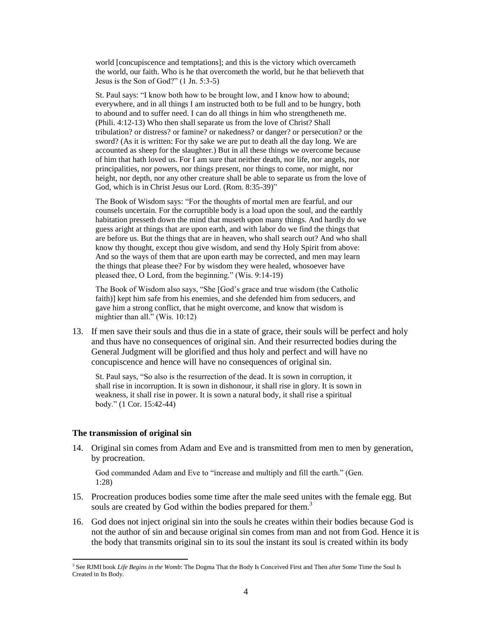world [concupiscence and temptations]; and this is the victory which overcameth the world, our faith. Who is he that overcometh the world, but he that believeth that Jesus is the Son of God?" (1 Jn. 5:3-5)

St. Paul says: "I know both how to be brought low, and I know how to abound; everywhere, and in all things I am instructed both to be full and to be hungry, both to abound and to suffer need. I can do all things in him who strengtheneth me. (Phili. 4:12-13) Who then shall separate us from the love of Christ? Shall tribulation? or distress? or famine? or nakedness? or danger? or persecution? or the sword? (As it is written: For thy sake we are put to death all the day long. We are accounted as sheep for the slaughter.) But in all these things we overcome because of him that hath loved us. For I am sure that neither death, nor life, nor angels, nor principalities, nor powers, nor things present, nor things to come, nor might, nor height, nor depth, nor any other creature shall be able to separate us from the love of God, which is in Christ Jesus our Lord. (Rom. 8:35-39)"

The Book of Wisdom says: "For the thoughts of mortal men are fearful, and our counsels uncertain. For the corruptible body is a load upon the soul, and the earthly habitation presseth down the mind that museth upon many things. And hardly do we guess aright at things that are upon earth, and with labor do we find the things that are before us. But the things that are in heaven, who shall search out? And who shall know thy thought, except thou give wisdom, and send thy Holy Spirit from above: And so the ways of them that are upon earth may be corrected, and men may learn the things that please thee? For by wisdom they were healed, whosoever have pleased thee, O Lord, from the beginning." (Wis. 9:14-19)

The Book of Wisdom also says, "She [God's grace and true wisdom (the Catholic faith)] kept him safe from his enemies, and she defended him from seducers, and gave him a strong conflict, that he might overcome, and know that wisdom is mightier than all." (Wis. 10:12)

13. If men save their souls and thus die in a state of grace, their souls will be perfect and holy and thus have no consequences of original sin. And their resurrected bodies during the General Judgment will be glorified and thus holy and perfect and will have no concupiscence and hence will have no consequences of original sin.

St. Paul says, "So also is the resurrection of the dead. It is sown in corruption, it shall rise in incorruption. It is sown in dishonour, it shall rise in glory. It is sown in weakness, it shall rise in power. It is sown a natural body, it shall rise a spiritual body." (1 Cor. 15:42-44)

### <span id="page-3-0"></span>**The transmission of original sin**

l

14. Original sin comes from Adam and Eve and is transmitted from men to men by generation, by procreation.

God commanded Adam and Eve to "increase and multiply and fill the earth." (Gen. 1:28)

- 15. Procreation produces bodies some time after the male seed unites with the female egg. But souls are created by God within the bodies prepared for them.<sup>3</sup>
- 16. God does not inject original sin into the souls he creates within their bodies because God is not the author of sin and because original sin comes from man and not from God. Hence it is the body that transmits original sin to its soul the instant its soul is created within its body

<sup>3</sup> See RJMI book *Life Begins in the Womb*: The Dogma That the Body Is Conceived First and Then after Some Time the Soul Is Created in Its Body.